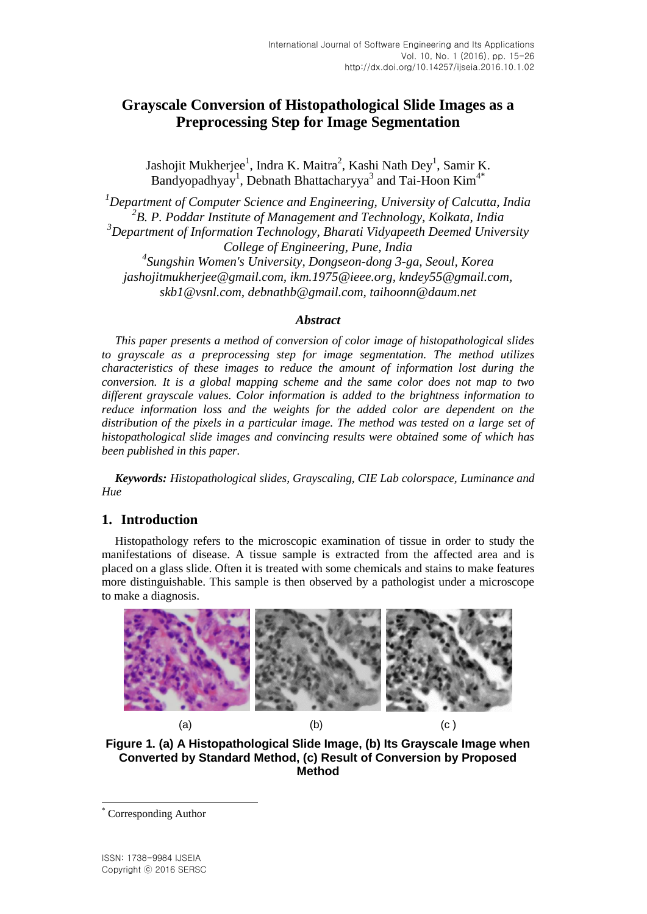# **Grayscale Conversion of Histopathological Slide Images as a Preprocessing Step for Image Segmentation**

Jashojit Mukherjee<sup>1</sup>, Indra K. Maitra<sup>2</sup>, Kashi Nath Dey<sup>1</sup>, Samir K. Bandyopadhyay<sup>1</sup>, Debnath Bhattacharyya<sup>3</sup> and Tai-Hoon Kim<sup>4\*</sup>

*Department of Computer Science and Engineering, University of Calcutta, India B. P. Poddar Institute of Management and Technology, Kolkata, India Department of Information Technology, Bharati Vidyapeeth Deemed University College of Engineering, Pune, India*

*4 Sungshin Women's University, Dongseon-dong 3-ga, Seoul, Korea jashojitmukherjee@gmail.com, ikm.1975@ieee.org, kndey55@gmail.com, skb1@vsnl.com, debnathb@gmail.com, taihoonn@daum.net*

#### *Abstract*

*This paper presents a method of conversion of color image of histopathological slides to grayscale as a preprocessing step for image segmentation. The method utilizes characteristics of these images to reduce the amount of information lost during the conversion. It is a global mapping scheme and the same color does not map to two different grayscale values. Color information is added to the brightness information to reduce information loss and the weights for the added color are dependent on the distribution of the pixels in a particular image. The method was tested on a large set of histopathological slide images and convincing results were obtained some of which has been published in this paper.*

*Keywords: Histopathological slides, Grayscaling, CIE Lab colorspace, Luminance and Hue*

### **1. Introduction**

Histopathology refers to the microscopic examination of tissue in order to study the manifestations of disease. A tissue sample is extracted from the affected area and is placed on a glass slide. Often it is treated with some chemicals and stains to make features more distinguishable. This sample is then observed by a pathologist under a microscope to make a diagnosis.



**Figure 1. (a) A Histopathological Slide Image, (b) Its Grayscale Image when Converted by Standard Method, (c) Result of Conversion by Proposed Method**

l

Corresponding Author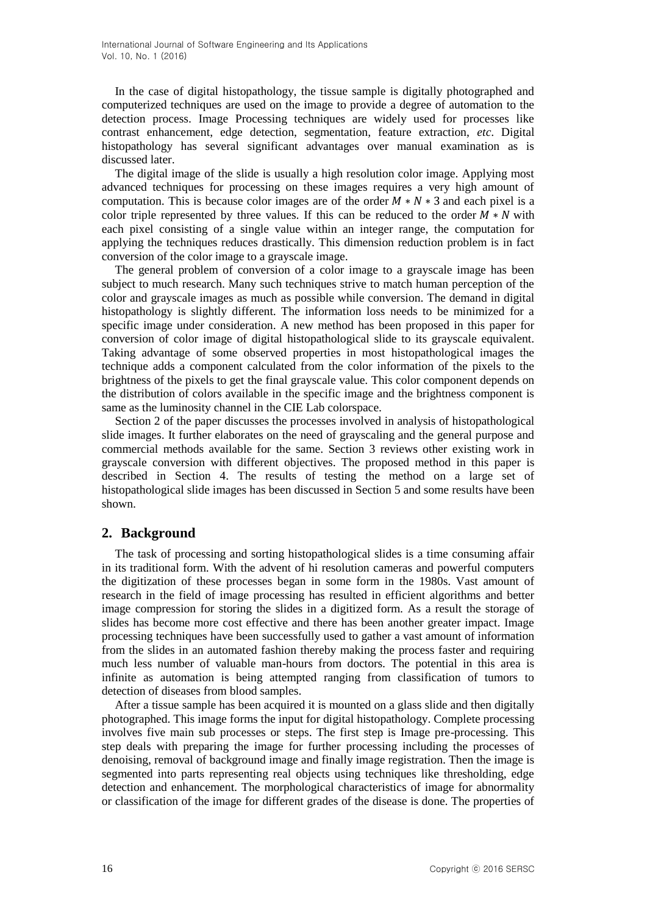In the case of digital histopathology, the tissue sample is digitally photographed and computerized techniques are used on the image to provide a degree of automation to the detection process. Image Processing techniques are widely used for processes like contrast enhancement, edge detection, segmentation, feature extraction, *etc*. Digital histopathology has several significant advantages over manual examination as is discussed later.

The digital image of the slide is usually a high resolution color image. Applying most advanced techniques for processing on these images requires a very high amount of computation. This is because color images are of the order  $M * N * 3$  and each pixel is a color triple represented by three values. If this can be reduced to the order  $\overline{M} * N$  with each pixel consisting of a single value within an integer range, the computation for applying the techniques reduces drastically. This dimension reduction problem is in fact conversion of the color image to a grayscale image.

The general problem of conversion of a color image to a grayscale image has been subject to much research. Many such techniques strive to match human perception of the color and grayscale images as much as possible while conversion. The demand in digital histopathology is slightly different. The information loss needs to be minimized for a specific image under consideration. A new method has been proposed in this paper for conversion of color image of digital histopathological slide to its grayscale equivalent. Taking advantage of some observed properties in most histopathological images the technique adds a component calculated from the color information of the pixels to the brightness of the pixels to get the final grayscale value. This color component depends on the distribution of colors available in the specific image and the brightness component is same as the luminosity channel in the CIE Lab colorspace.

Section 2 of the paper discusses the processes involved in analysis of histopathological slide images. It further elaborates on the need of grayscaling and the general purpose and commercial methods available for the same. Section 3 reviews other existing work in grayscale conversion with different objectives. The proposed method in this paper is described in Section 4. The results of testing the method on a large set of histopathological slide images has been discussed in Section 5 and some results have been shown.

### **2. Background**

The task of processing and sorting histopathological slides is a time consuming affair in its traditional form. With the advent of hi resolution cameras and powerful computers the digitization of these processes began in some form in the 1980s. Vast amount of research in the field of image processing has resulted in efficient algorithms and better image compression for storing the slides in a digitized form. As a result the storage of slides has become more cost effective and there has been another greater impact. Image processing techniques have been successfully used to gather a vast amount of information from the slides in an automated fashion thereby making the process faster and requiring much less number of valuable man-hours from doctors. The potential in this area is infinite as automation is being attempted ranging from classification of tumors to detection of diseases from blood samples.

After a tissue sample has been acquired it is mounted on a glass slide and then digitally photographed. This image forms the input for digital histopathology. Complete processing involves five main sub processes or steps. The first step is Image pre-processing. This step deals with preparing the image for further processing including the processes of denoising, removal of background image and finally image registration. Then the image is segmented into parts representing real objects using techniques like thresholding, edge detection and enhancement. The morphological characteristics of image for abnormality or classification of the image for different grades of the disease is done. The properties of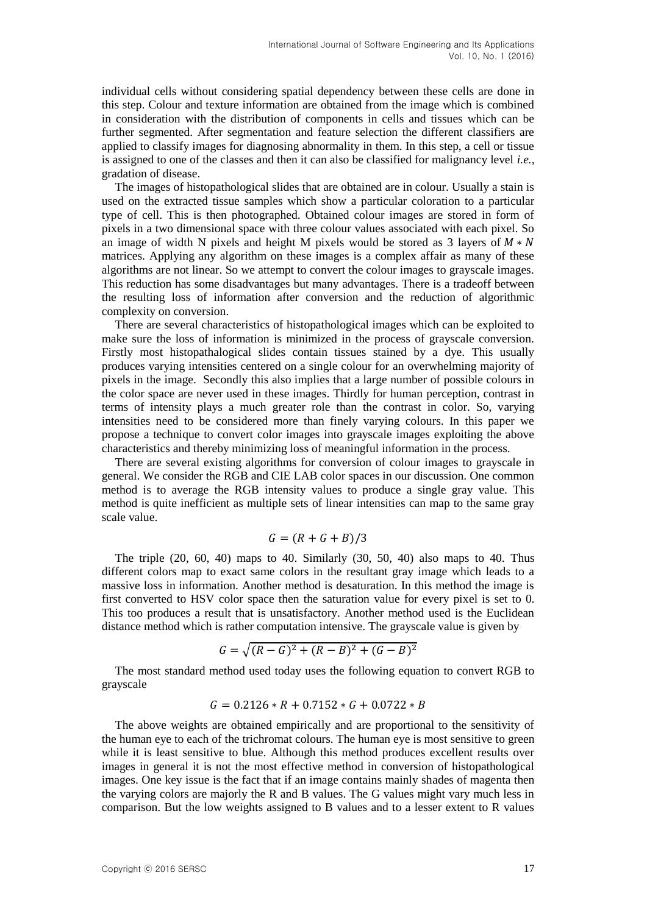individual cells without considering spatial dependency between these cells are done in this step. Colour and texture information are obtained from the image which is combined in consideration with the distribution of components in cells and tissues which can be further segmented. After segmentation and feature selection the different classifiers are applied to classify images for diagnosing abnormality in them. In this step, a cell or tissue is assigned to one of the classes and then it can also be classified for malignancy level *i.e.,* gradation of disease.

The images of histopathological slides that are obtained are in colour. Usually a stain is used on the extracted tissue samples which show a particular coloration to a particular type of cell. This is then photographed. Obtained colour images are stored in form of pixels in a two dimensional space with three colour values associated with each pixel. So an image of width N pixels and height M pixels would be stored as 3 layers of  $M*N$ matrices. Applying any algorithm on these images is a complex affair as many of these algorithms are not linear. So we attempt to convert the colour images to grayscale images. This reduction has some disadvantages but many advantages. There is a tradeoff between the resulting loss of information after conversion and the reduction of algorithmic complexity on conversion.

There are several characteristics of histopathological images which can be exploited to make sure the loss of information is minimized in the process of grayscale conversion. Firstly most histopathalogical slides contain tissues stained by a dye. This usually produces varying intensities centered on a single colour for an overwhelming majority of pixels in the image. Secondly this also implies that a large number of possible colours in the color space are never used in these images. Thirdly for human perception, contrast in terms of intensity plays a much greater role than the contrast in color. So, varying intensities need to be considered more than finely varying colours. In this paper we propose a technique to convert color images into grayscale images exploiting the above characteristics and thereby minimizing loss of meaningful information in the process.

There are several existing algorithms for conversion of colour images to grayscale in general. We consider the RGB and CIE LAB color spaces in our discussion. One common method is to average the RGB intensity values to produce a single gray value. This method is quite inefficient as multiple sets of linear intensities can map to the same gray scale value.

$$
G = (R + G + B)/3
$$

The triple  $(20, 60, 40)$  maps to 40. Similarly  $(30, 50, 40)$  also maps to 40. Thus different colors map to exact same colors in the resultant gray image which leads to a massive loss in information. Another method is desaturation. In this method the image is first converted to HSV color space then the saturation value for every pixel is set to 0. This too produces a result that is unsatisfactory. Another method used is the Euclidean distance method which is rather computation intensive. The grayscale value is given by

$$
G = \sqrt{(R - G)^2 + (R - B)^2 + (G - B)^2}
$$

The most standard method used today uses the following equation to convert RGB to grayscale

$$
G = 0.2126 * R + 0.7152 * G + 0.0722 * B
$$

The above weights are obtained empirically and are proportional to the sensitivity of the human eye to each of the trichromat colours. The human eye is most sensitive to green while it is least sensitive to blue. Although this method produces excellent results over images in general it is not the most effective method in conversion of histopathological images. One key issue is the fact that if an image contains mainly shades of magenta then the varying colors are majorly the R and B values. The G values might vary much less in comparison. But the low weights assigned to B values and to a lesser extent to R values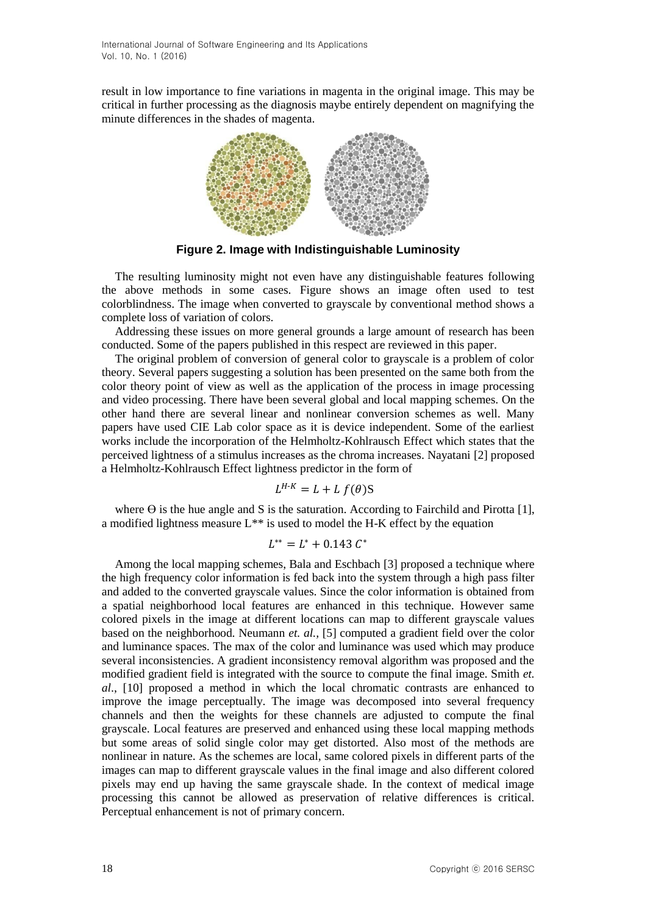result in low importance to fine variations in magenta in the original image. This may be critical in further processing as the diagnosis maybe entirely dependent on magnifying the minute differences in the shades of magenta.



**Figure 2. Image with Indistinguishable Luminosity**

The resulting luminosity might not even have any distinguishable features following the above methods in some cases. Figure shows an image often used to test colorblindness. The image when converted to grayscale by conventional method shows a complete loss of variation of colors.

Addressing these issues on more general grounds a large amount of research has been conducted. Some of the papers published in this respect are reviewed in this paper.

The original problem of conversion of general color to grayscale is a problem of color theory. Several papers suggesting a solution has been presented on the same both from the color theory point of view as well as the application of the process in image processing and video processing. There have been several global and local mapping schemes. On the other hand there are several linear and nonlinear conversion schemes as well. Many papers have used CIE Lab color space as it is device independent. Some of the earliest works include the incorporation of the Helmholtz-Kohlrausch Effect which states that the perceived lightness of a stimulus increases as the chroma increases. Nayatani [2] proposed a Helmholtz-Kohlrausch Effect lightness predictor in the form of

$$
L^{H-K} = L + L f(\theta)S
$$

where  $\Theta$  is the hue angle and S is the saturation. According to Fairchild and Pirotta [1], a modified lightness measure  $L^{**}$  is used to model the H-K effect by the equation

#### $L^{**} = L^* + 0.143 C^*$

Among the local mapping schemes, Bala and Eschbach [3] proposed a technique where the high frequency color information is fed back into the system through a high pass filter and added to the converted grayscale values. Since the color information is obtained from a spatial neighborhood local features are enhanced in this technique. However same colored pixels in the image at different locations can map to different grayscale values based on the neighborhood. Neumann *et. al.,* [5] computed a gradient field over the color and luminance spaces. The max of the color and luminance was used which may produce several inconsistencies. A gradient inconsistency removal algorithm was proposed and the modified gradient field is integrated with the source to compute the final image. Smith *et. al*., [10] proposed a method in which the local chromatic contrasts are enhanced to improve the image perceptually. The image was decomposed into several frequency channels and then the weights for these channels are adjusted to compute the final grayscale. Local features are preserved and enhanced using these local mapping methods but some areas of solid single color may get distorted. Also most of the methods are nonlinear in nature. As the schemes are local, same colored pixels in different parts of the images can map to different grayscale values in the final image and also different colored pixels may end up having the same grayscale shade. In the context of medical image processing this cannot be allowed as preservation of relative differences is critical. Perceptual enhancement is not of primary concern.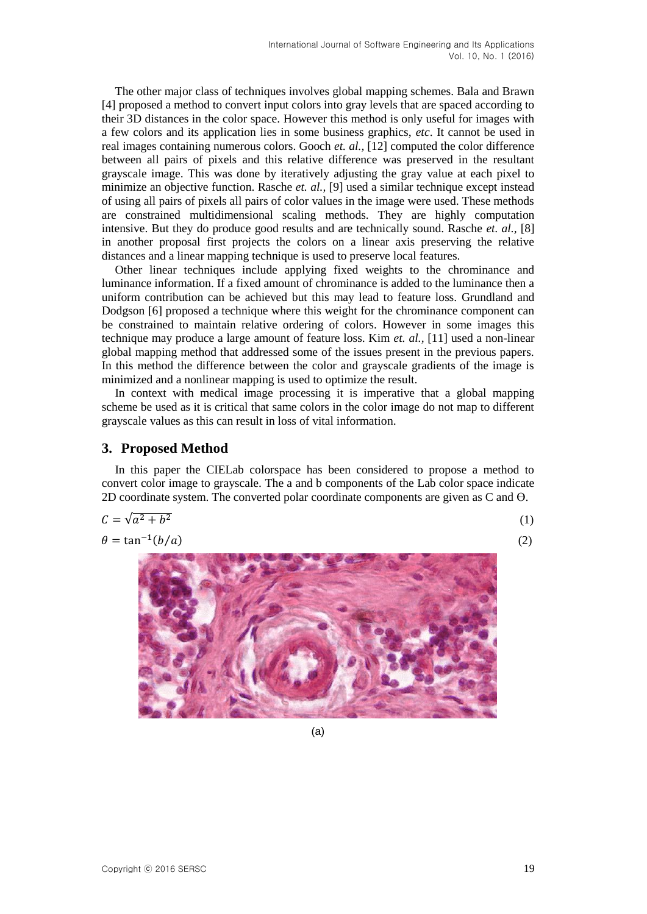The other major class of techniques involves global mapping schemes. Bala and Brawn [4] proposed a method to convert input colors into gray levels that are spaced according to their 3D distances in the color space. However this method is only useful for images with a few colors and its application lies in some business graphics, *etc*. It cannot be used in real images containing numerous colors. Gooch *et. al.,* [12] computed the color difference between all pairs of pixels and this relative difference was preserved in the resultant grayscale image. This was done by iteratively adjusting the gray value at each pixel to minimize an objective function. Rasche *et. al.,* [9] used a similar technique except instead of using all pairs of pixels all pairs of color values in the image were used. These methods are constrained multidimensional scaling methods. They are highly computation intensive. But they do produce good results and are technically sound. Rasche *et. al.,* [8] in another proposal first projects the colors on a linear axis preserving the relative distances and a linear mapping technique is used to preserve local features.

Other linear techniques include applying fixed weights to the chrominance and luminance information. If a fixed amount of chrominance is added to the luminance then a uniform contribution can be achieved but this may lead to feature loss. Grundland and Dodgson [6] proposed a technique where this weight for the chrominance component can be constrained to maintain relative ordering of colors. However in some images this technique may produce a large amount of feature loss. Kim *et. al.,* [11] used a non-linear global mapping method that addressed some of the issues present in the previous papers. In this method the difference between the color and grayscale gradients of the image is minimized and a nonlinear mapping is used to optimize the result.

In context with medical image processing it is imperative that a global mapping scheme be used as it is critical that same colors in the color image do not map to different grayscale values as this can result in loss of vital information.

### **3. Proposed Method**

In this paper the CIELab colorspace has been considered to propose a method to convert color image to grayscale. The a and b components of the Lab color space indicate 2D coordinate system. The converted polar coordinate components are given as C and Ө.

$$
C = \sqrt{a^2 + b^2} \tag{1}
$$

$$
\theta = \tan^{-1}(b/a) \tag{2}
$$



(a)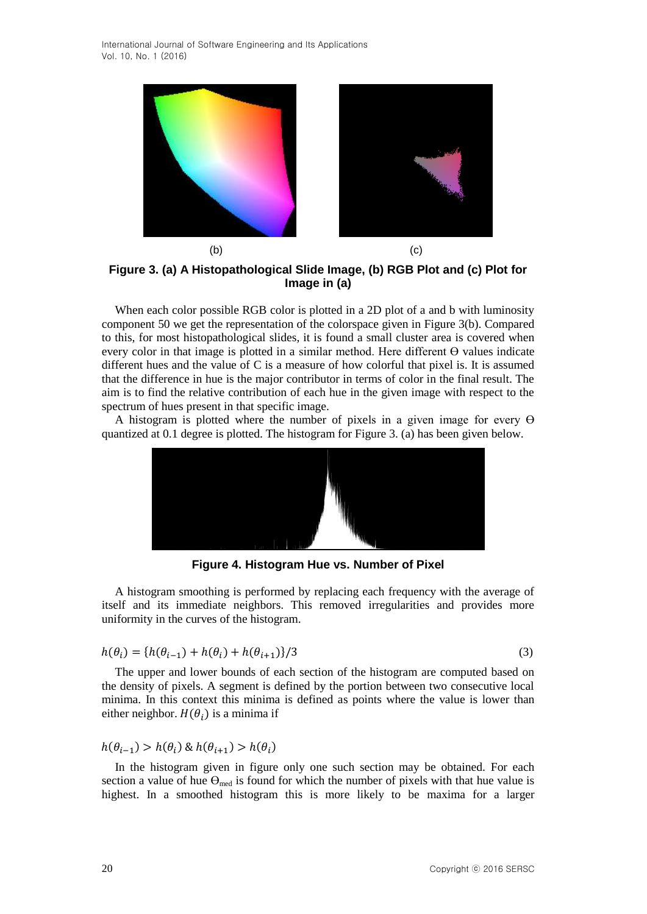

**Figure 3. (a) A Histopathological Slide Image, (b) RGB Plot and (c) Plot for Image in (a)**

When each color possible RGB color is plotted in a 2D plot of a and b with luminosity component 50 we get the representation of the colorspace given in Figure 3(b). Compared to this, for most histopathological slides, it is found a small cluster area is covered when every color in that image is plotted in a similar method. Here different  $\Theta$  values indicate different hues and the value of C is a measure of how colorful that pixel is. It is assumed that the difference in hue is the major contributor in terms of color in the final result. The aim is to find the relative contribution of each hue in the given image with respect to the spectrum of hues present in that specific image.

A histogram is plotted where the number of pixels in a given image for every  $\Theta$ quantized at 0.1 degree is plotted. The histogram for Figure 3. (a) has been given below.



**Figure 4. Histogram Hue vs. Number of Pixel**

A histogram smoothing is performed by replacing each frequency with the average of itself and its immediate neighbors. This removed irregularities and provides more uniformity in the curves of the histogram.

$$
h(\theta_i) = \{h(\theta_{i-1}) + h(\theta_i) + h(\theta_{i+1})\}/3
$$
\n(3)

The upper and lower bounds of each section of the histogram are computed based on the density of pixels. A segment is defined by the portion between two consecutive local minima. In this context this minima is defined as points where the value is lower than either neighbor.  $H(\theta_i)$  is a minima if

 $h(\theta_{i-1}) > h(\theta_i) \& h(\theta_{i+1}) > h(\theta_i)$ 

In the histogram given in figure only one such section may be obtained. For each section a value of hue  $\Theta_{\text{med}}$  is found for which the number of pixels with that hue value is highest. In a smoothed histogram this is more likely to be maxima for a larger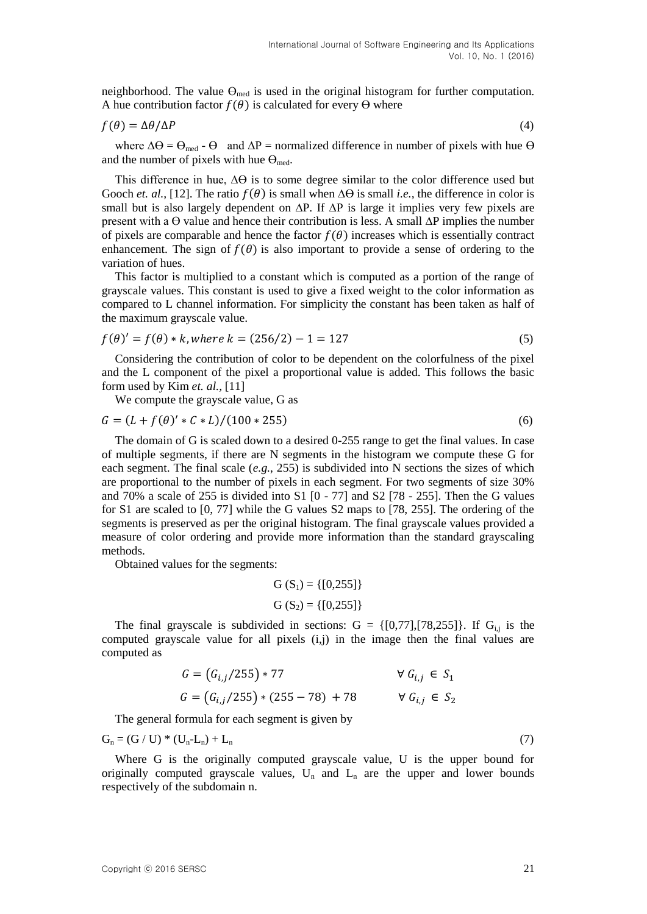neighborhood. The value  $\Theta_{\text{med}}$  is used in the original histogram for further computation. A hue contribution factor  $f(\theta)$  is calculated for every  $\Theta$  where

$$
f(\theta) = \Delta\theta/\Delta P \tag{4}
$$

where  $\Delta\Theta = \Theta_{\text{med}} - \Theta$  and  $\Delta P =$  normalized difference in number of pixels with hue  $\Theta$ and the number of pixels with hue  $\Theta_{\text{med}}$ .

This difference in hue, ∆Ө is to some degree similar to the color difference used but Gooch *et. al.*, [12]. The ratio  $f(\theta)$  is small when  $\Delta\Theta$  is small *i.e.*, the difference in color is small but is also largely dependent on ΔP. If ΔP is large it implies very few pixels are present with a Ө value and hence their contribution is less. A small ∆P implies the number of pixels are comparable and hence the factor  $f(\theta)$  increases which is essentially contract enhancement. The sign of  $f(\theta)$  is also important to provide a sense of ordering to the variation of hues.

This factor is multiplied to a constant which is computed as a portion of the range of grayscale values. This constant is used to give a fixed weight to the color information as compared to L channel information. For simplicity the constant has been taken as half of the maximum grayscale value.

$$
f(\theta)' = f(\theta) * k, \text{where } k = (256/2) - 1 = 127 \tag{5}
$$

Considering the contribution of color to be dependent on the colorfulness of the pixel and the L component of the pixel a proportional value is added. This follows the basic form used by Kim *et. al.,* [11]

We compute the grayscale value, G as

$$
G = (L + f(\theta)' * C * L) / (100 * 255)
$$
\n<sup>(6)</sup>

The domain of G is scaled down to a desired 0-255 range to get the final values. In case of multiple segments, if there are N segments in the histogram we compute these G for each segment. The final scale (*e.g.*, 255) is subdivided into N sections the sizes of which are proportional to the number of pixels in each segment. For two segments of size 30% and 70% a scale of 255 is divided into S1 [0 - 77] and S2 [78 - 255]. Then the G values for S1 are scaled to [0, 77] while the G values S2 maps to [78, 255]. The ordering of the segments is preserved as per the original histogram. The final grayscale values provided a measure of color ordering and provide more information than the standard grayscaling methods.

Obtained values for the segments:

 $G(S_1) = \{[0,255]\}$ G  $(S_2) = \{ [0, 255] \}$ 

The final grayscale is subdivided in sections:  $G = \{[0,77], [78,255]\}$ . If  $G_{i,j}$  is the computed grayscale value for all pixels  $(i,j)$  in the image then the final values are computed as

$$
G = (G_{i,j}/255) * 77 \qquad \forall G_{i,j} \in S_1
$$
  

$$
G = (G_{i,j}/255) * (255 - 78) + 78 \qquad \forall G_{i,j} \in S_2
$$

The general formula for each segment is given by

 $G_n = (G/U)^* (U_n - L_n) + L_n$  (7)

Where G is the originally computed grayscale value, U is the upper bound for originally computed grayscale values,  $U_n$  and  $L_n$  are the upper and lower bounds respectively of the subdomain n.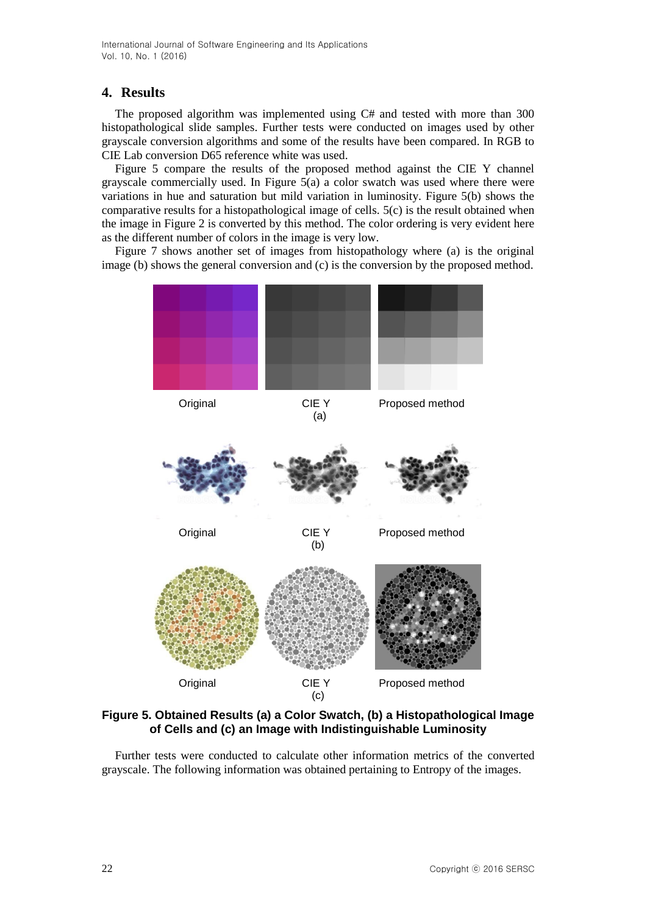International Journal of Software Engineering and Its Applications Vol. 10, No. 1 (2016)

#### **4. Results**

The proposed algorithm was implemented using C# and tested with more than 300 histopathological slide samples. Further tests were conducted on images used by other grayscale conversion algorithms and some of the results have been compared. In RGB to CIE Lab conversion D65 reference white was used.

Figure 5 compare the results of the proposed method against the CIE Y channel grayscale commercially used. In Figure 5(a) a color swatch was used where there were variations in hue and saturation but mild variation in luminosity. Figure 5(b) shows the comparative results for a histopathological image of cells. 5(c) is the result obtained when the image in Figure 2 is converted by this method. The color ordering is very evident here as the different number of colors in the image is very low.

Figure 7 shows another set of images from histopathology where (a) is the original image (b) shows the general conversion and (c) is the conversion by the proposed method.



**Figure 5. Obtained Results (a) a Color Swatch, (b) a Histopathological Image of Cells and (c) an Image with Indistinguishable Luminosity**

Further tests were conducted to calculate other information metrics of the converted grayscale. The following information was obtained pertaining to Entropy of the images.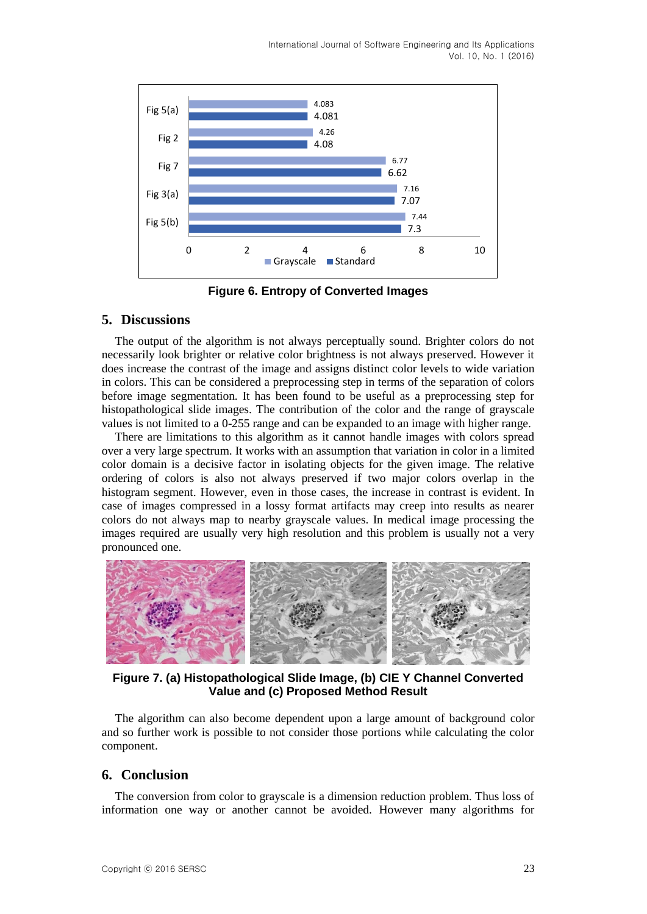International Journal of Software Engineering and Its Applications Vol. 10, No. 1 (2016)



**Figure 6. Entropy of Converted Images**

#### **5. Discussions**

The output of the algorithm is not always perceptually sound. Brighter colors do not necessarily look brighter or relative color brightness is not always preserved. However it does increase the contrast of the image and assigns distinct color levels to wide variation in colors. This can be considered a preprocessing step in terms of the separation of colors before image segmentation. It has been found to be useful as a preprocessing step for histopathological slide images. The contribution of the color and the range of grayscale values is not limited to a 0-255 range and can be expanded to an image with higher range.

There are limitations to this algorithm as it cannot handle images with colors spread over a very large spectrum. It works with an assumption that variation in color in a limited color domain is a decisive factor in isolating objects for the given image. The relative ordering of colors is also not always preserved if two major colors overlap in the histogram segment. However, even in those cases, the increase in contrast is evident. In case of images compressed in a lossy format artifacts may creep into results as nearer colors do not always map to nearby grayscale values. In medical image processing the images required are usually very high resolution and this problem is usually not a very pronounced one.



**Figure 7. (a) Histopathological Slide Image, (b) CIE Y Channel Converted Value and (c) Proposed Method Result**

The algorithm can also become dependent upon a large amount of background color and so further work is possible to not consider those portions while calculating the color component.

#### **6. Conclusion**

The conversion from color to grayscale is a dimension reduction problem. Thus loss of information one way or another cannot be avoided. However many algorithms for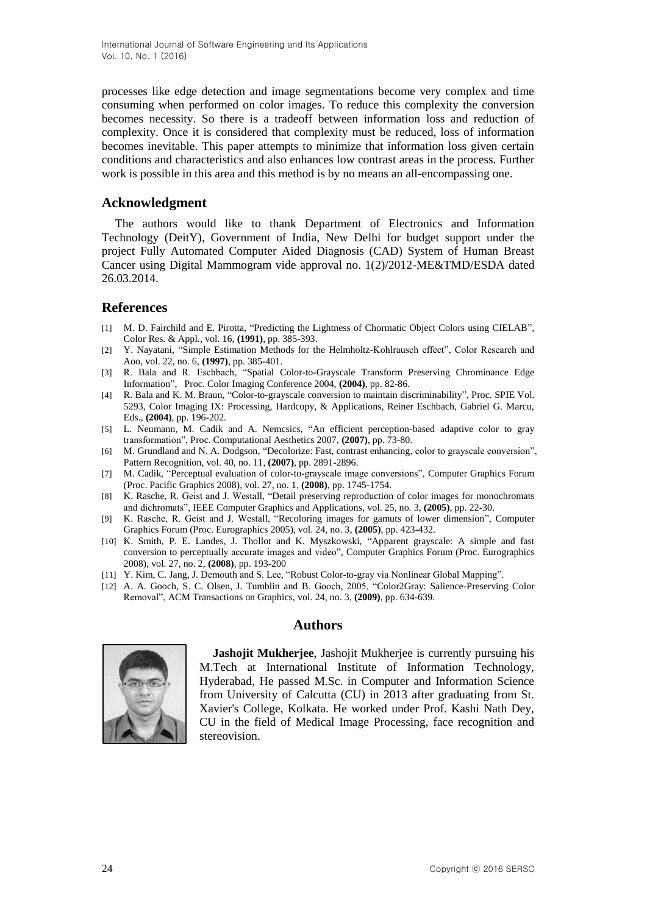processes like edge detection and image segmentations become very complex and time consuming when performed on color images. To reduce this complexity the conversion becomes necessity. So there is a tradeoff between information loss and reduction of complexity. Once it is considered that complexity must be reduced, loss of information becomes inevitable. This paper attempts to minimize that information loss given certain conditions and characteristics and also enhances low contrast areas in the process. Further work is possible in this area and this method is by no means an all-encompassing one.

### **Acknowledgment**

The authors would like to thank Department of Electronics and Information Technology (DeitY), Government of India, New Delhi for budget support under the project Fully Automated Computer Aided Diagnosis (CAD) System of Human Breast Cancer using Digital Mammogram vide approval no. 1(2)/2012-ME&TMD/ESDA dated 26.03.2014.

## **References**

- [1] M. D. Fairchild and E. Pirotta, "Predicting the Lightness of Chormatic Object Colors using CIELAB", Color Res. & Appl., vol. 16, **(1991)**, pp. 385-393.
- [2] Y. Nayatani, "Simple Estimation Methods for the Helmholtz-Kohlrausch effect", Color Research and Aoo, vol. 22, no. 6, **(1997)**, pp. 385-401.
- [3] R. Bala and R. Eschbach, "Spatial Color-to-Grayscale Transform Preserving Chrominance Edge Information", Proc. Color Imaging Conference 2004, **(2004)**, pp. 82-86.
- [4] R. Bala and K. M. Braun, "Color-to-grayscale conversion to maintain discriminability", Proc. SPIE Vol. 5293, Color Imaging IX: Processing, Hardcopy, & Applications, Reiner Eschbach, Gabriel G. Marcu, Eds., **(2004)**, pp. 196-202.
- [5] L. Neumann, M. Cadik and A. Nemcsics, "An efficient perception-based adaptive color to gray transformation", Proc. Computational Aesthetics 2007, **(2007)**, pp. 73-80.
- [6] M. Grundland and N. A. Dodgson, "Decolorize: Fast, contrast enhancing, color to grayscale conversion", Pattern Recognition, vol. 40, no. 11, **(2007)**, pp. 2891-2896.
- [7] M. Cadik, "Perceptual evaluation of color-to-grayscale image conversions", Computer Graphics Forum (Proc. Pacific Graphics 2008), vol. 27, no. 1, **(2008)**, pp. 1745-1754.
- [8] K. Rasche, R. Geist and J. Westall, "Detail preserving reproduction of color images for monochromats and dichromats", IEEE Computer Graphics and Applications, vol. 25, no. 3, **(2005)**, pp. 22-30.
- [9] K. Rasche, R. Geist and J. Westall, "Recoloring images for gamuts of lower dimension", Computer Graphics Forum (Proc. Eurographics 2005), vol. 24, no. 3, **(2005)**, pp. 423-432.
- [10] K. Smith, P. E. Landes, J. Thollot and K. Myszkowski, "Apparent grayscale: A simple and fast conversion to perceptually accurate images and video", Computer Graphics Forum (Proc. Eurographics 2008), vol. 27, no. 2, **(2008)**, pp. 193-200
- [11] Y. Kim, C. Jang, J. Demouth and S. Lee, "Robust Color-to-gray via Nonlinear Global Mapping".
- [12] A. A. Gooch, S. C. Olsen, J. Tumblin and B. Gooch, 2005, "Color2Gray: Salience-Preserving Color Removal", ACM Transactions on Graphics, vol. 24, no. 3, **(2009)**, pp. 634-639.

#### **Authors**



**Jashojit Mukherjee**, Jashojit Mukherjee is currently pursuing his M.Tech at International Institute of Information Technology, Hyderabad, He passed M.Sc. in Computer and Information Science from University of Calcutta (CU) in 2013 after graduating from St. Xavier's College, Kolkata. He worked under Prof. Kashi Nath Dey, CU in the field of Medical Image Processing, face recognition and stereovision.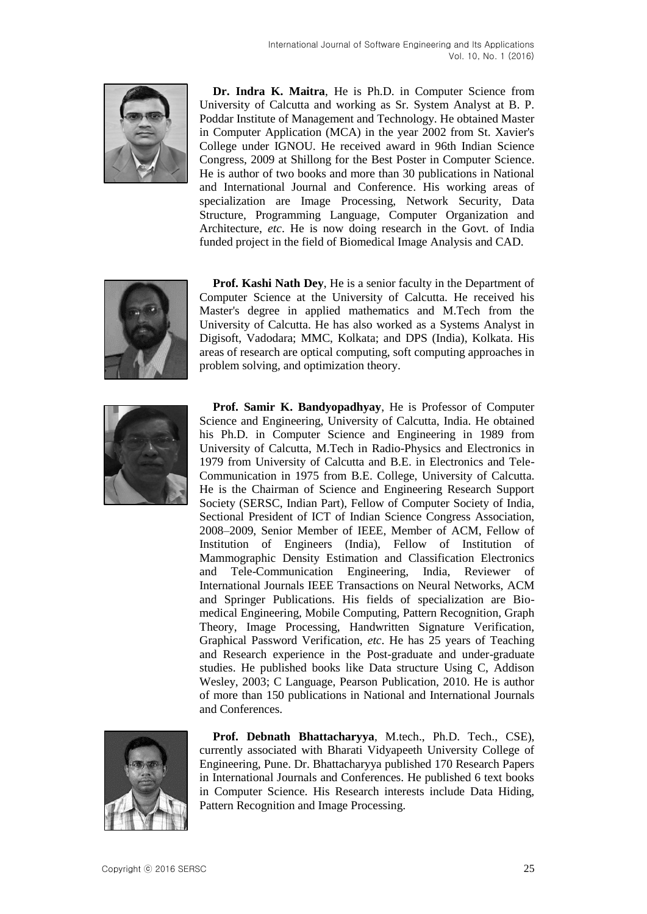

**Dr. Indra K. Maitra**, He is Ph.D. in Computer Science from University of Calcutta and working as Sr. System Analyst at B. P. Poddar Institute of Management and Technology. He obtained Master in Computer Application (MCA) in the year 2002 from St. Xavier's College under IGNOU. He received award in 96th Indian Science Congress, 2009 at Shillong for the Best Poster in Computer Science. He is author of two books and more than 30 publications in National and International Journal and Conference. His working areas of specialization are Image Processing, Network Security, Data Structure, Programming Language, Computer Organization and Architecture, *etc*. He is now doing research in the Govt. of India funded project in the field of Biomedical Image Analysis and CAD.



**Prof. Kashi Nath Dey**, He is a senior faculty in the Department of Computer Science at the University of Calcutta. He received his Master's degree in applied mathematics and M.Tech from the University of Calcutta. He has also worked as a Systems Analyst in Digisoft, Vadodara; MMC, Kolkata; and DPS (India), Kolkata. His areas of research are optical computing, soft computing approaches in problem solving, and optimization theory.



**Prof. Samir K. Bandyopadhyay**, He is Professor of Computer Science and Engineering, University of Calcutta, India. He obtained his Ph.D. in Computer Science and Engineering in 1989 from University of Calcutta, M.Tech in Radio-Physics and Electronics in 1979 from University of Calcutta and B.E. in Electronics and Tele-Communication in 1975 from B.E. College, University of Calcutta. He is the Chairman of Science and Engineering Research Support Society (SERSC, Indian Part), Fellow of Computer Society of India, Sectional President of ICT of Indian Science Congress Association, 2008–2009, Senior Member of IEEE, Member of ACM, Fellow of Institution of Engineers (India), Fellow of Institution of Mammographic Density Estimation and Classification Electronics and Tele-Communication Engineering, India, Reviewer of International Journals IEEE Transactions on Neural Networks, ACM and Springer Publications. His fields of specialization are Biomedical Engineering, Mobile Computing, Pattern Recognition, Graph Theory, Image Processing, Handwritten Signature Verification, Graphical Password Verification, *etc*. He has 25 years of Teaching and Research experience in the Post-graduate and under-graduate studies. He published books like Data structure Using C, Addison Wesley, 2003; C Language, Pearson Publication, 2010. He is author of more than 150 publications in National and International Journals and Conferences.



**Prof. Debnath Bhattacharyya**, M.tech., Ph.D. Tech., CSE), currently associated with Bharati Vidyapeeth University College of Engineering, Pune. Dr. Bhattacharyya published 170 Research Papers in International Journals and Conferences. He published 6 text books in Computer Science. His Research interests include Data Hiding, Pattern Recognition and Image Processing.